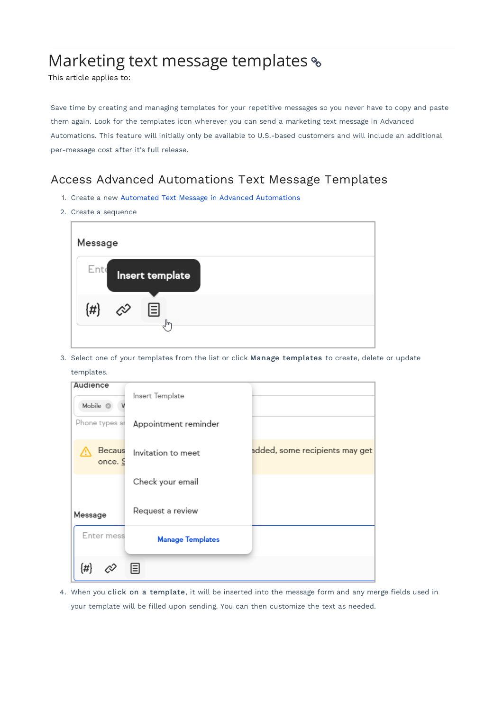# Marketing text message templates  $\textdegree$

This article applies to:

Save time by creating and managing templates for your repetitive messages so you never have to copy and paste them again. Look for the templates icon wherever you can send a marketing text message in Advanced Automations. This feature will initially only be available to U.S.-based customers and will include an additional per-message cost after it's full release.

#### Access Advanced Automations Text Message Templates

- 1. Create a new Automated Text Message in Advanced Automations
- 2. Create a sequence



3. Select one of your templates from the list or click Manage templates to create, delete or update

| templates.               |                         |                                |
|--------------------------|-------------------------|--------------------------------|
| Audience<br>Mobile       | Insert Template         |                                |
| Phone types ar           | Appointment reminder    |                                |
| <b>Becaus</b><br>once. S | Invitation to meet      | added, some recipients may get |
|                          | Check your email        |                                |
| Message                  | Request a review        |                                |
| Enter mess               | <b>Manage Templates</b> |                                |
| $\{\sharp\}$             | lΞl                     |                                |

4. When you click on a template, it will be inserted into the message form and any merge fields used in your template will be filled upon sending. You can then customize the text as needed.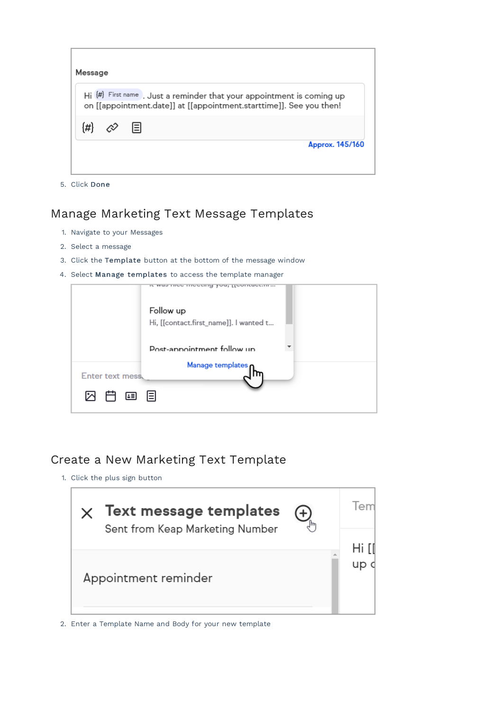|  |   | $H_i$ $(H)$ First name . Just a reminder that your appointment is coming up |
|--|---|-----------------------------------------------------------------------------|
|  |   | on [[appointment.date]] at [[appointment.starttime]]. See you then!         |
|  |   |                                                                             |
|  | 目 |                                                                             |
|  |   | Approx. 145/160                                                             |

5. Click Done

### Manage Marketing Text Message Templates

- 1. Navigate to your Messages
- 2. Select a message
- 3. Click the Template button at the bottom of the message window
- 4. Select Manage templates to access the template manager

|                  | ir mas liloo lilootilid kaa' Hoolitaorill in<br>Follow up<br>Hi, [[contact.first_name]]. I wanted t |
|------------------|-----------------------------------------------------------------------------------------------------|
|                  | Post-appointment follow up                                                                          |
| Enter text mess. | Manage templates                                                                                    |
| 2 日 国 目          |                                                                                                     |

#### Create a New Marketing Text Template

1. Click the plus sign button



2. Enter a Template Name and Body for your new template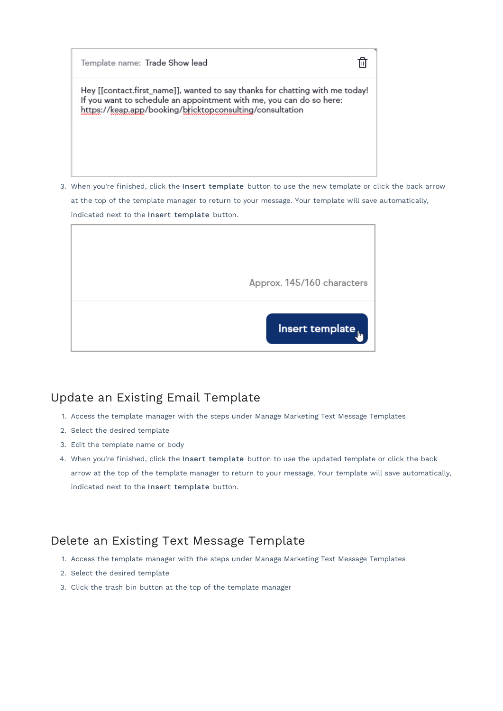| Template name: Trade Show lead                                                                                                                                                                                  |  |
|-----------------------------------------------------------------------------------------------------------------------------------------------------------------------------------------------------------------|--|
| Hey [[contact.first_name]], wanted to say thanks for chatting with me today!<br>If you want to schedule an appointment with me, you can do so here:<br>https://keap.app/booking/bricktopconsulting/consultation |  |

3. When you're finished, click the Insert template button to use the new template or click the back arrow at the top of the template manager to return to your message. Your template will save automatically, indicated next to the Insert template button.



## Update an Existing Email Template

- 1. Access the template manager with the steps under Manage Marketing Text Message Templates
- 2. Select the desired template
- 3. Edit the template name or body
- 4. When you're finished, click the Insert template button to use the updated template or click the back arrow at the top of the template manager to return to your message. Your template will save automatically, indicated next to the Insert template button.

## Delete an Existing Text Message Template

- 1. Access the template manager with the steps under Manage Marketing Text Message Templates
- 2. Select the desired template
- 3. Click the trash bin button at the top of the template manager